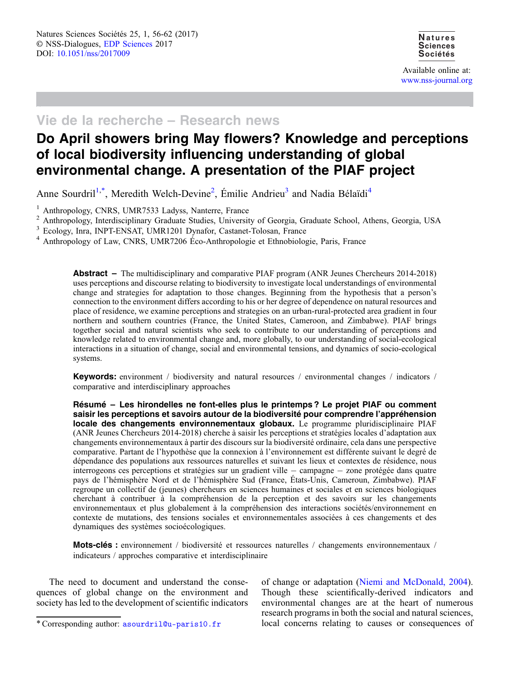Available online at: [www.nss-journal.org](http://www.nss-journal.org)

## Vie de la recherche – Research news

# Do April showers bring May flowers? Knowledge and perceptions of local biodiversity influencing understanding of global environmental change. A presentation of the PIAF project

Anne Sourdril<sup>1,\*</sup>, Meredith Welch-Devine<sup>2</sup>, Émilie Andrieu<sup>3</sup> and Nadia Bélaïdi<sup>4</sup>

<sup>1</sup> Anthropology, CNRS, UMR7533 Ladyss, Nanterre, France<br>
<sup>2</sup> Anthropology, Interdisciplinary Graduate Studies, University of Georgia, Graduate School, Athens, Georgia, USA<br>
<sup>3</sup> Ecology, Inra, INPT-ENSAT, UMR1201 Dynafor,

 $3<sup>4</sup>$  Anthropology of Law, CNRS, UMR7206 Éco-Anthropologie et Ethnobiologie, Paris, France

Abstract – The multidisciplinary and comparative PIAF program (ANR Jeunes Chercheurs 2014-2018) uses perceptions and discourse relating to biodiversity to investigate local understandings of environmental change and strategies for adaptation to those changes. Beginning from the hypothesis that a person's connection to the environment differs according to his or her degree of dependence on natural resources and place of residence, we examine perceptions and strategies on an urban-rural-protected area gradient in four northern and southern countries (France, the United States, Cameroon, and Zimbabwe). PIAF brings together social and natural scientists who seek to contribute to our understanding of perceptions and knowledge related to environmental change and, more globally, to our understanding of social-ecological interactions in a situation of change, social and environmental tensions, and dynamics of socio-ecological systems.

Keywords: environment / biodiversity and natural resources / environmental changes / indicators / comparative and interdisciplinary approaches

Résumé – Les hirondelles ne font-elles plus le printemps ? Le projet PIAF ou comment saisir les perceptions et savoirs autour de la biodiversité pour comprendre l'appréhension locale des changements environnementaux globaux. Le programme pluridisciplinaire PIAF (ANR Jeunes Chercheurs 2014-2018) cherche à saisir les perceptions et stratégies locales d'adaptation aux changements environnementaux à partir des discours sur la biodiversité ordinaire, cela dans une perspective comparative. Partant de l'hypothèse que la connexion à l'environnement est différente suivant le degré de dépendance des populations aux ressources naturelles et suivant les lieux et contextes de résidence, nous interrogeons ces perceptions et stratégies sur un gradient ville - campagne - zone protégée dans quatre pays de l'hémisphère Nord et de l'hémisphère Sud (France, États-Unis, Cameroun, Zimbabwe). PIAF regroupe un collectif de (jeunes) chercheurs en sciences humaines et sociales et en sciences biologiques cherchant à contribuer à la compréhension de la perception et des savoirs sur les changements environnementaux et plus globalement à la compréhension des interactions sociétés/environnement en contexte de mutations, des tensions sociales et environnementales associées à ces changements et des dynamiques des systèmes socioécologiques.

Mots-clés : environnement / biodiversité et ressources naturelles / changements environnementaux / indicateurs / approches comparative et interdisciplinaire

The need to document and understand the consequences of global change on the environment and society has led to the development of scientific indicators

of change or adaptation ([Niemi and McDonald, 2004](#page-6-0)). Though these scientifically-derived indicators and environmental changes are at the heart of numerous research programs in both the social and natural sciences, \*Corresponding author: [asourdril@u-paris10.fr](mailto:asourdril@u-paris10.fr) local concerns relating to causes or consequences of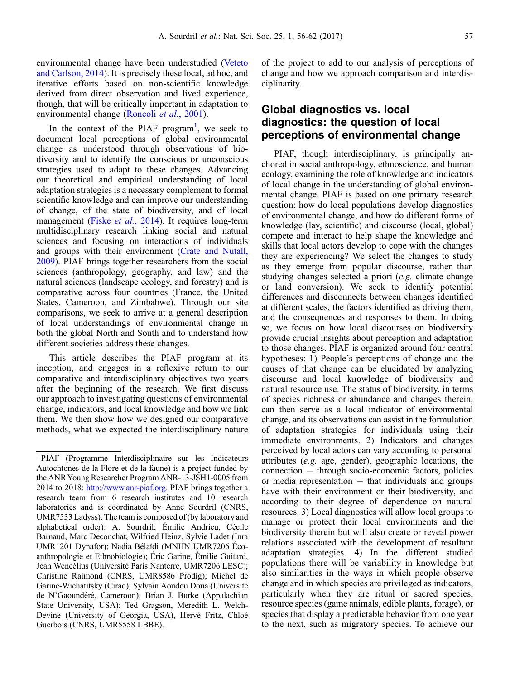environmental change have been understudied ([Veteto](#page-6-0) [and Carlson, 2014](#page-6-0)). It is precisely these local, ad hoc, and iterative efforts based on non-scientific knowledge derived from direct observation and lived experience, though, that will be critically important in adaptation to environmental change ([Roncoli](#page-6-0) et al., 2001).

In the context of the PIAF program<sup>1</sup>, we seek to document local perceptions of global environmental change as understood through observations of biodiversity and to identify the conscious or unconscious strategies used to adapt to these changes. Advancing our theoretical and empirical understanding of local adaptation strategies is a necessary complement to formal scientific knowledge and can improve our understanding of change, of the state of biodiversity, and of local management (Fiske et al.[, 2014](#page-6-0)). It requires long-term multidisciplinary research linking social and natural sciences and focusing on interactions of individuals and groups with their environment ([Crate and Nutall,](#page-6-0) [2009](#page-6-0)). PIAF brings together researchers from the social sciences (anthropology, geography, and law) and the natural sciences (landscape ecology, and forestry) and is comparative across four countries (France, the United States, Cameroon, and Zimbabwe). Through our site comparisons, we seek to arrive at a general description of local understandings of environmental change in both the global North and South and to understand how different societies address these changes.

This article describes the PIAF program at its inception, and engages in a reflexive return to our comparative and interdisciplinary objectives two years after the beginning of the research. We first discuss our approach to investigating questions of environmental change, indicators, and local knowledge and how we link them. We then show how we designed our comparative methods, what we expected the interdisciplinary nature of the project to add to our analysis of perceptions of change and how we approach comparison and interdisciplinarity.

### Global diagnostics vs. local diagnostics: the question of local perceptions of environmental change

PIAF, though interdisciplinary, is principally anchored in social anthropology, ethnoscience, and human ecology, examining the role of knowledge and indicators of local change in the understanding of global environmental change. PIAF is based on one primary research question: how do local populations develop diagnostics of environmental change, and how do different forms of knowledge (lay, scientific) and discourse (local, global) compete and interact to help shape the knowledge and skills that local actors develop to cope with the changes they are experiencing? We select the changes to study as they emerge from popular discourse, rather than studying changes selected a priori (e.g. climate change or land conversion). We seek to identify potential differences and disconnects between changes identified at different scales, the factors identified as driving them, and the consequences and responses to them. In doing so, we focus on how local discourses on biodiversity provide crucial insights about perception and adaptation to those changes. PIAF is organized around four central hypotheses: 1) People's perceptions of change and the causes of that change can be elucidated by analyzing discourse and local knowledge of biodiversity and natural resource use. The status of biodiversity, in terms of species richness or abundance and changes therein, can then serve as a local indicator of environmental change, and its observations can assist in the formulation of adaptation strategies for individuals using their immediate environments. 2) Indicators and changes perceived by local actors can vary according to personal attributes (e.g. age, gender), geographic locations, the connection - through socio-economic factors, policies or media representation  $-$  that individuals and groups have with their environment or their biodiversity, and according to their degree of dependence on natural resources. 3) Local diagnostics will allow local groups to manage or protect their local environments and the biodiversity therein but will also create or reveal power relations associated with the development of resultant adaptation strategies. 4) In the different studied populations there will be variability in knowledge but also similarities in the ways in which people observe change and in which species are privileged as indicators, particularly when they are ritual or sacred species, resource species (game animals, edible plants, forage), or species that display a predictable behavior from one year to the next, such as migratory species. To achieve our

<sup>1</sup> PIAF (Programme Interdisciplinaire sur les Indicateurs Autochtones de la Flore et de la faune) is a project funded by the ANRYoung Researcher Program ANR-13-JSH1-0005 from 2014 to 2018: [http://www.anr-piaf.org.](http://www.anr-piaf.org) PIAF brings together a research team from 6 research institutes and 10 research laboratories and is coordinated by Anne Sourdril (CNRS, UMR7533 Ladyss). The team is composed of (by laboratory and alphabetical order): A. Sourdril; Émilie Andrieu, Cécile Barnaud, Marc Deconchat, Wilfried Heinz, Sylvie Ladet (Inra UMR1201 Dynafor); Nadia Bélaïdi (MNHN UMR7206 Écoanthropologie et Ethnobiologie); Éric Garine, Émilie Guitard, Jean Wencélius (Université Paris Nanterre, UMR7206 LESC); Christine Raimond (CNRS, UMR8586 Prodig); Michel de Garine-Wichatitsky (Cirad); Sylvain Aoudou Doua (Université de N'Gaoundéré, Cameroon); Brian J. Burke (Appalachian State University, USA); Ted Gragson, Meredith L. Welch-Devine (University of Georgia, USA), Hervé Fritz, Chloé Guerbois (CNRS, UMR5558 LBBE).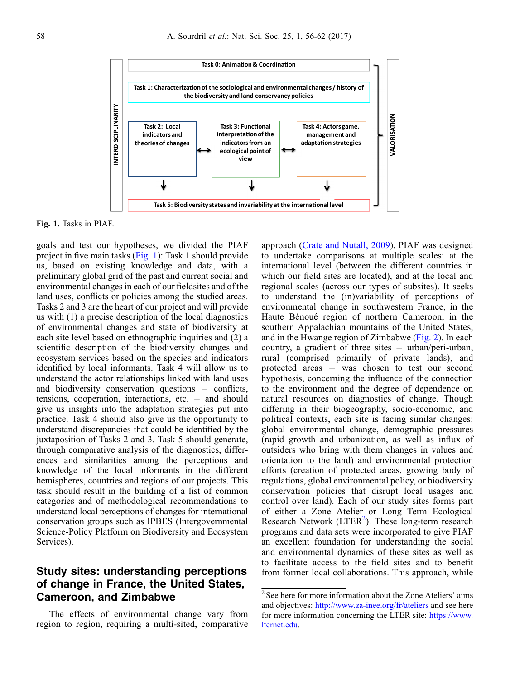

Fig. 1. Tasks in PIAF.

goals and test our hypotheses, we divided the PIAF project in five main tasks (Fig. 1): Task 1 should provide us, based on existing knowledge and data, with a preliminary global grid of the past and current social and environmental changes in each of our fieldsites and of the land uses, conflicts or policies among the studied areas. Tasks 2 and 3 are the heart of our project and will provide us with (1) a precise description of the local diagnostics of environmental changes and state of biodiversity at each site level based on ethnographic inquiries and (2) a scientific description of the biodiversity changes and ecosystem services based on the species and indicators identified by local informants. Task 4 will allow us to understand the actor relationships linked with land uses and biodiversity conservation questions  $-$  conflicts, tensions, cooperation, interactions, etc.  $-$  and should give us insights into the adaptation strategies put into practice. Task 4 should also give us the opportunity to understand discrepancies that could be identified by the juxtaposition of Tasks 2 and 3. Task 5 should generate, through comparative analysis of the diagnostics, differences and similarities among the perceptions and knowledge of the local informants in the different hemispheres, countries and regions of our projects. This task should result in the building of a list of common categories and of methodological recommendations to understand local perceptions of changes for international conservation groups such as IPBES (Intergovernmental Science-Policy Platform on Biodiversity and Ecosystem Services).

### Study sites: understanding perceptions of change in France, the United States, Cameroon, and Zimbabwe

The effects of environmental change vary from region to region, requiring a multi-sited, comparative approach [\(Crate and Nutall, 2009\)](#page-6-0). PIAF was designed to undertake comparisons at multiple scales: at the international level (between the different countries in which our field sites are located), and at the local and regional scales (across our types of subsites). It seeks to understand the (in)variability of perceptions of environmental change in southwestern France, in the Haute Bénoué region of northern Cameroon, in the southern Appalachian mountains of the United States, and in the Hwange region of Zimbabwe [\(Fig. 2\)](#page-3-0). In each country, a gradient of three sites  $-$  urban/peri-urban, rural (comprised primarily of private lands), and protected areas  $-$  was chosen to test our second hypothesis, concerning the influence of the connection to the environment and the degree of dependence on natural resources on diagnostics of change. Though differing in their biogeography, socio-economic, and political contexts, each site is facing similar changes: global environmental change, demographic pressures (rapid growth and urbanization, as well as influx of outsiders who bring with them changes in values and orientation to the land) and environmental protection efforts (creation of protected areas, growing body of regulations, global environmental policy, or biodiversity conservation policies that disrupt local usages and control over land). Each of our study sites forms part of either a Zone Atelier or Long Term Ecological Research Network (LTER<sup>2</sup>). These long-term research programs and data sets were incorporated to give PIAF an excellent foundation for understanding the social and environmental dynamics of these sites as well as to facilitate access to the field sites and to benefit from former local collaborations. This approach, while

<sup>2</sup> See here for more information about the Zone Ateliers' aims and objectives: <http://www.za-inee.org/fr/ateliers> and see here for more information concerning the LTER site: [https://www.](https://www.lternet.edu) [lternet.edu.](https://www.lternet.edu)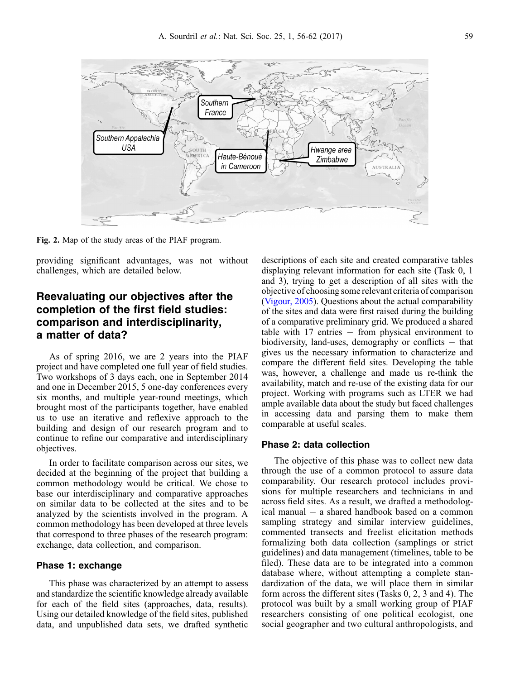<span id="page-3-0"></span>

Fig. 2. Map of the study areas of the PIAF program.

providing significant advantages, was not without challenges, which are detailed below.

### Reevaluating our objectives after the completion of the first field studies: comparison and interdisciplinarity, a matter of data?

As of spring 2016, we are 2 years into the PIAF project and have completed one full year of field studies. Two workshops of 3 days each, one in September 2014 and one in December 2015, 5 one-day conferences every six months, and multiple year-round meetings, which brought most of the participants together, have enabled us to use an iterative and reflexive approach to the building and design of our research program and to continue to refine our comparative and interdisciplinary objectives.

In order to facilitate comparison across our sites, we decided at the beginning of the project that building a common methodology would be critical. We chose to base our interdisciplinary and comparative approaches on similar data to be collected at the sites and to be analyzed by the scientists involved in the program. A common methodology has been developed at three levels that correspond to three phases of the research program: exchange, data collection, and comparison.

#### Phase 1: exchange

This phase was characterized by an attempt to assess and standardize the scientific knowledge already available for each of the field sites (approaches, data, results). Using our detailed knowledge of the field sites, published data, and unpublished data sets, we drafted synthetic descriptions of each site and created comparative tables displaying relevant information for each site (Task 0, 1 and 3), trying to get a description of all sites with the objective of choosing some relevant criteria of comparison [\(Vigour, 2005\)](#page-6-0). Questions about the actual comparability of the sites and data were first raised during the building of a comparative preliminary grid. We produced a shared table with  $17$  entries  $-$  from physical environment to biodiversity, land-uses, demography or conflicts  $-$  that gives us the necessary information to characterize and compare the different field sites. Developing the table was, however, a challenge and made us re-think the availability, match and re-use of the existing data for our project. Working with programs such as LTER we had ample available data about the study but faced challenges in accessing data and parsing them to make them comparable at useful scales.

#### Phase 2: data collection

The objective of this phase was to collect new data through the use of a common protocol to assure data comparability. Our research protocol includes provisions for multiple researchers and technicians in and across field sites. As a result, we drafted a methodological manual  $-$  a shared handbook based on a common sampling strategy and similar interview guidelines, commented transects and freelist elicitation methods formalizing both data collection (samplings or strict guidelines) and data management (timelines, table to be filed). These data are to be integrated into a common database where, without attempting a complete standardization of the data, we will place them in similar form across the different sites (Tasks 0, 2, 3 and 4). The protocol was built by a small working group of PIAF researchers consisting of one political ecologist, one social geographer and two cultural anthropologists, and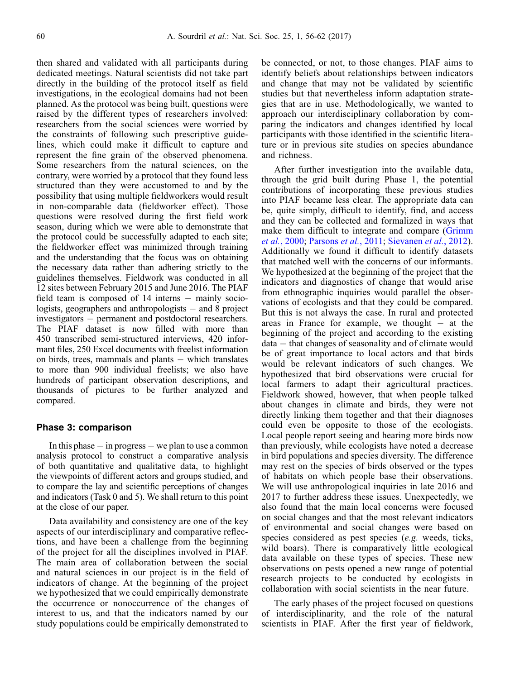then shared and validated with all participants during dedicated meetings. Natural scientists did not take part directly in the building of the protocol itself as field investigations, in the ecological domains had not been planned. As the protocol was being built, questions were raised by the different types of researchers involved: researchers from the social sciences were worried by the constraints of following such prescriptive guidelines, which could make it difficult to capture and represent the fine grain of the observed phenomena. Some researchers from the natural sciences, on the contrary, were worried by a protocol that they found less structured than they were accustomed to and by the possibility that using multiple fieldworkers would result in non-comparable data (fieldworker effect). Those questions were resolved during the first field work season, during which we were able to demonstrate that the protocol could be successfully adapted to each site; the fieldworker effect was minimized through training and the understanding that the focus was on obtaining the necessary data rather than adhering strictly to the guidelines themselves. Fieldwork was conducted in all 12 sites between February 2015 and June 2016. The PIAF field team is composed of  $14$  interns  $-$  mainly sociologists, geographers and anthropologists  $-$  and 8 project investigators – permanent and postdoctoral researchers. The PIAF dataset is now filled with more than 450 transcribed semi-structured interviews, 420 informant files, 250 Excel documents with freelist information on birds, trees, mammals and plants  $-$  which translates to more than 900 individual freelists; we also have hundreds of participant observation descriptions, and thousands of pictures to be further analyzed and compared.

#### Phase 3: comparison

In this phase  $-$  in progress  $-$  we plan to use a common analysis protocol to construct a comparative analysis of both quantitative and qualitative data, to highlight the viewpoints of different actors and groups studied, and to compare the lay and scientific perceptions of changes and indicators (Task 0 and 5). We shall return to this point at the close of our paper.

Data availability and consistency are one of the key aspects of our interdisciplinary and comparative reflections, and have been a challenge from the beginning of the project for all the disciplines involved in PIAF. The main area of collaboration between the social and natural sciences in our project is in the field of indicators of change. At the beginning of the project we hypothesized that we could empirically demonstrate the occurrence or nonoccurrence of the changes of interest to us, and that the indicators named by our study populations could be empirically demonstrated to

be connected, or not, to those changes. PIAF aims to identify beliefs about relationships between indicators and change that may not be validated by scientific studies but that nevertheless inform adaptation strategies that are in use. Methodologically, we wanted to approach our interdisciplinary collaboration by comparing the indicators and changes identified by local participants with those identified in the scientific literature or in previous site studies on species abundance and richness.

After further investigation into the available data, through the grid built during Phase 1, the potential contributions of incorporating these previous studies into PIAF became less clear. The appropriate data can be, quite simply, difficult to identify, find, and access and they can be collected and formalized in ways that make them difficult to integrate and compare ([Grimm](#page-6-0) et al.[, 2000](#page-6-0); [Parsons](#page-6-0) et al., 2011; [Sievanen](#page-6-0) et al., 2012). Additionally we found it difficult to identify datasets that matched well with the concerns of our informants. We hypothesized at the beginning of the project that the indicators and diagnostics of change that would arise from ethnographic inquiries would parallel the observations of ecologists and that they could be compared. But this is not always the case. In rural and protected areas in France for example, we thought  $-$  at the beginning of the project and according to the existing  $data - that changes of seasonality and of climate would$ be of great importance to local actors and that birds would be relevant indicators of such changes. We hypothesized that bird observations were crucial for local farmers to adapt their agricultural practices. Fieldwork showed, however, that when people talked about changes in climate and birds, they were not directly linking them together and that their diagnoses could even be opposite to those of the ecologists. Local people report seeing and hearing more birds now than previously, while ecologists have noted a decrease in bird populations and species diversity. The difference may rest on the species of birds observed or the types of habitats on which people base their observations. We will use anthropological inquiries in late 2016 and 2017 to further address these issues. Unexpectedly, we also found that the main local concerns were focused on social changes and that the most relevant indicators of environmental and social changes were based on species considered as pest species (e.g. weeds, ticks, wild boars). There is comparatively little ecological data available on these types of species. These new observations on pests opened a new range of potential research projects to be conducted by ecologists in collaboration with social scientists in the near future.

The early phases of the project focused on questions of interdisciplinarity, and the role of the natural scientists in PIAF. After the first year of fieldwork,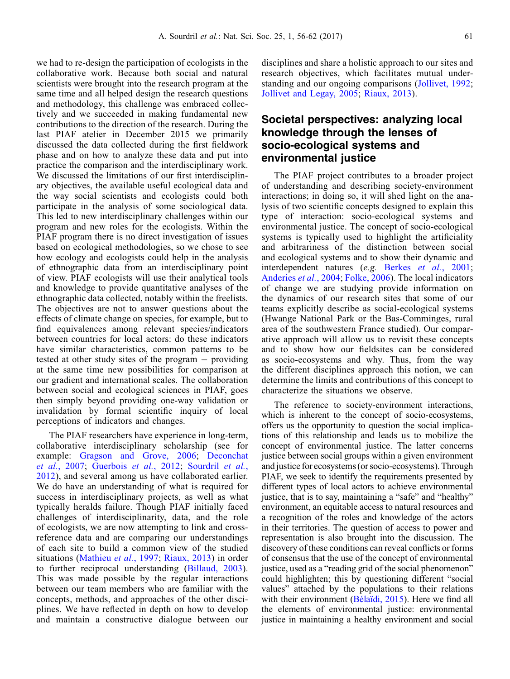we had to re-design the participation of ecologists in the collaborative work. Because both social and natural scientists were brought into the research program at the same time and all helped design the research questions and methodology, this challenge was embraced collectively and we succeeded in making fundamental new contributions to the direction of the research. During the last PIAF atelier in December 2015 we primarily discussed the data collected during the first fieldwork phase and on how to analyze these data and put into practice the comparison and the interdisciplinary work. We discussed the limitations of our first interdisciplinary objectives, the available useful ecological data and the way social scientists and ecologists could both participate in the analysis of some sociological data. This led to new interdisciplinary challenges within our program and new roles for the ecologists. Within the PIAF program there is no direct investigation of issues based on ecological methodologies, so we chose to see how ecology and ecologists could help in the analysis of ethnographic data from an interdisciplinary point of view. PIAF ecologists will use their analytical tools and knowledge to provide quantitative analyses of the ethnographic data collected, notably within the freelists. The objectives are not to answer questions about the effects of climate change on species, for example, but to find equivalences among relevant species/indicators between countries for local actors: do these indicators have similar characteristics, common patterns to be tested at other study sites of the program  $-$  providing at the same time new possibilities for comparison at our gradient and international scales. The collaboration between social and ecological sciences in PIAF, goes then simply beyond providing one-way validation or invalidation by formal scientific inquiry of local perceptions of indicators and changes.

The PIAF researchers have experience in long-term, collaborative interdisciplinary scholarship (see for example: [Gragson and Grove, 2006](#page-6-0); [Deconchat](#page-6-0) et al.[, 2007;](#page-6-0) [Guerbois](#page-6-0) et al., 2012; [Sourdril](#page-6-0) et al., [2012\)](#page-6-0), and several among us have collaborated earlier. We do have an understanding of what is required for success in interdisciplinary projects, as well as what typically heralds failure. Though PIAF initially faced challenges of interdisciplinarity, data, and the role of ecologists, we are now attempting to link and crossreference data and are comparing our understandings of each site to build a common view of the studied situations ([Mathieu](#page-6-0) et al., 1997; [Riaux, 2013\)](#page-6-0) in order to further reciprocal understanding ([Billaud, 2003](#page-6-0)). This was made possible by the regular interactions between our team members who are familiar with the concepts, methods, and approaches of the other disciplines. We have reflected in depth on how to develop and maintain a constructive dialogue between our disciplines and share a holistic approach to our sites and research objectives, which facilitates mutual understanding and our ongoing comparisons [\(Jollivet, 1992;](#page-6-0) [Jollivet and Legay, 2005](#page-6-0); [Riaux, 2013](#page-6-0)).

### Societal perspectives: analyzing local knowledge through the lenses of socio-ecological systems and environmental justice

The PIAF project contributes to a broader project of understanding and describing society-environment interactions; in doing so, it will shed light on the analysis of two scientific concepts designed to explain this type of interaction: socio-ecological systems and environmental justice. The concept of socio-ecological systems is typically used to highlight the artificiality and arbitrariness of the distinction between social and ecological systems and to show their dynamic and interdependent natures (e.g. Berkes et al.[, 2001;](#page-6-0) [Anderies](#page-6-0) et al., 2004; [Folke, 2006\)](#page-6-0). The local indicators of change we are studying provide information on the dynamics of our research sites that some of our teams explicitly describe as social-ecological systems (Hwange National Park or the Bas-Comminges, rural area of the southwestern France studied). Our comparative approach will allow us to revisit these concepts and to show how our fieldsites can be considered as socio-ecosystems and why. Thus, from the way the different disciplines approach this notion, we can determine the limits and contributions of this concept to characterize the situations we observe.

The reference to society-environment interactions, which is inherent to the concept of socio-ecosystems, offers us the opportunity to question the social implications of this relationship and leads us to mobilize the concept of environmental justice. The latter concerns justice between social groups within a given environment and justice for ecosystems (or socio-ecosystems). Through PIAF, we seek to identify the requirements presented by different types of local actors to achieve environmental justice, that is to say, maintaining a "safe" and "healthy" environment, an equitable access to natural resources and a recognition of the roles and knowledge of the actors in their territories. The question of access to power and representation is also brought into the discussion. The discovery of these conditions can reveal conflicts or forms of consensus that the use of the concept of environmental justice, used as a "reading grid of the social phenomenon" could highlighten; this by questioning different "social values" attached by the populations to their relations with their environment ([Bélaïdi, 2015\)](#page-6-0). Here we find all the elements of environmental justice: environmental justice in maintaining a healthy environment and social